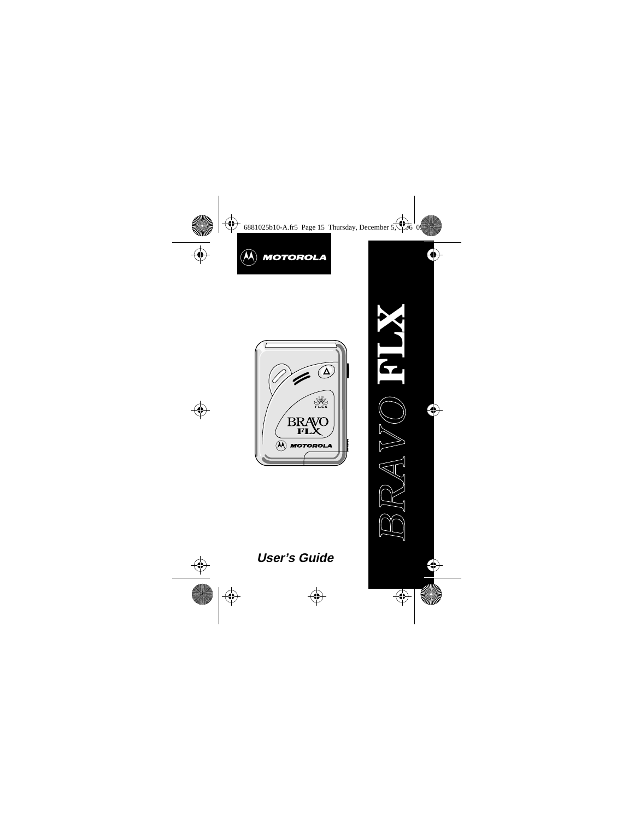



# **User's Guide**

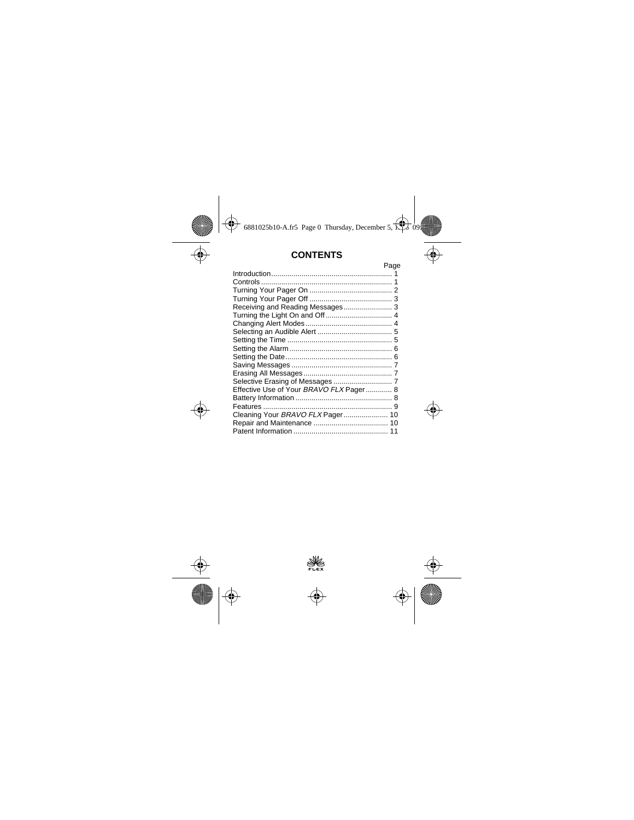## **CONTENTS**

|                                         | Page |
|-----------------------------------------|------|
|                                         |      |
|                                         |      |
|                                         |      |
|                                         |      |
|                                         |      |
|                                         |      |
|                                         |      |
|                                         |      |
|                                         |      |
|                                         |      |
|                                         |      |
|                                         |      |
|                                         |      |
|                                         |      |
| Effective Use of Your BRAVO FLX Pager 8 |      |
|                                         |      |
|                                         |      |
| Cleaning Your BRAVO FLX Pager 10        |      |
|                                         |      |
|                                         |      |
|                                         |      |

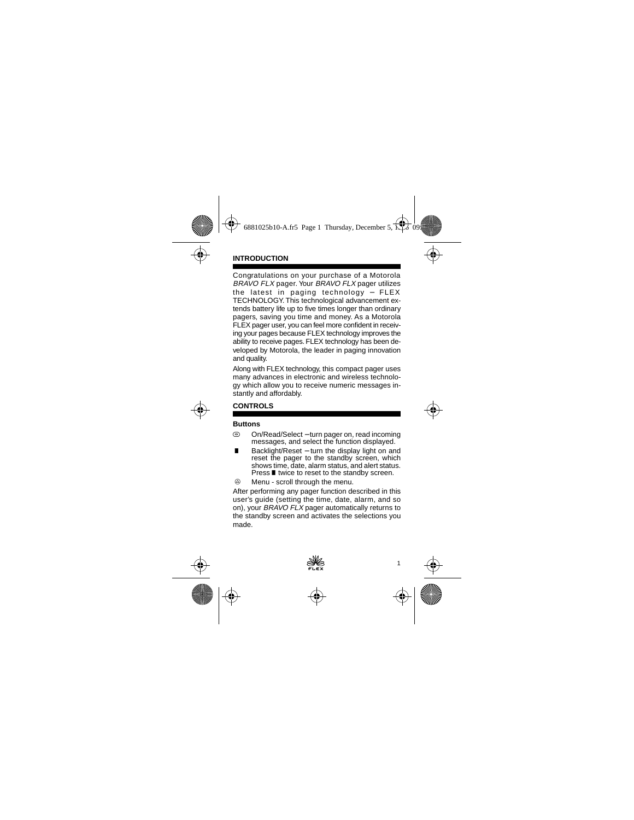#### **INTRODUCTION**

Congratulations on your purchase of a Motorola BRAVO FLX pager. Your BRAVO FLX pager utilizes the latest in paging technology - FLEX TECHNOLOGY. This technological advancement extends battery life up to five times longer than ordinary pagers, saving you time and money. As a Motorola FLEX pager user, you can feel more confident in receiving your pages because FLEX technology improves the ability to receive pages. FLEX technology has been developed by Motorola, the leader in paging innovation and quality.

Along with FLEX technology, this compact pager uses many advances in electronic and wireless technology which allow you to receive numeric messages instantly and affordably.

### **CONTROLS**

#### **Buttons**

- W On/Read/Select − turn pager on, read incoming messages, and select the function displayed.
- Backlight/Reset turn the display light on and reset the pager to the standby screen, which shows time, date, alarm status, and alert status. Press I twice to reset to the standby screen.
- $\circledA$  Menu scroll through the menu.

After performing any pager function described in this user's guide (setting the time, date, alarm, and so on), your BRAVO FLX pager automatically returns to the standby screen and activates the selections you made.

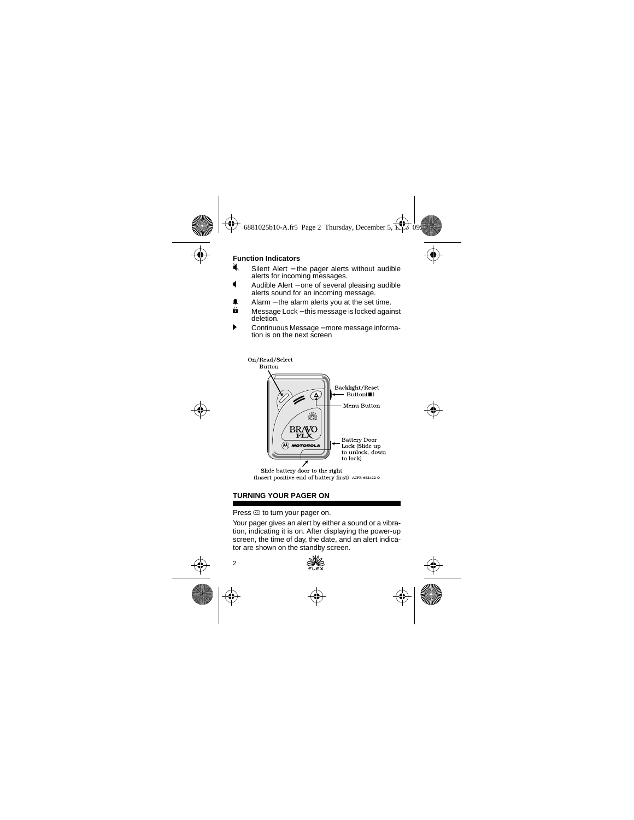## **Function Indicators**

- [ Silent Alert − the pager alerts without audible alerts for incoming messages.
- D Audible Alert − one of several pleasing audible alerts sound for an incoming message.
- **A** Alarm the alarm alerts you at the set time.
- Message Lock this message is locked against deletion.
- Continuous Message more message information is on the next screen



(Insert positive end of battery first) ACPB-952422-0

## **TURNING YOUR PAGER ON**

 $Press  $\odot$  to turn your pager on.$ 

Your pager gives an alert by either a sound or a vibration, indicating it is on. After displaying the power-up screen, the time of day, the date, and an alert indicator are shown on the standby screen.

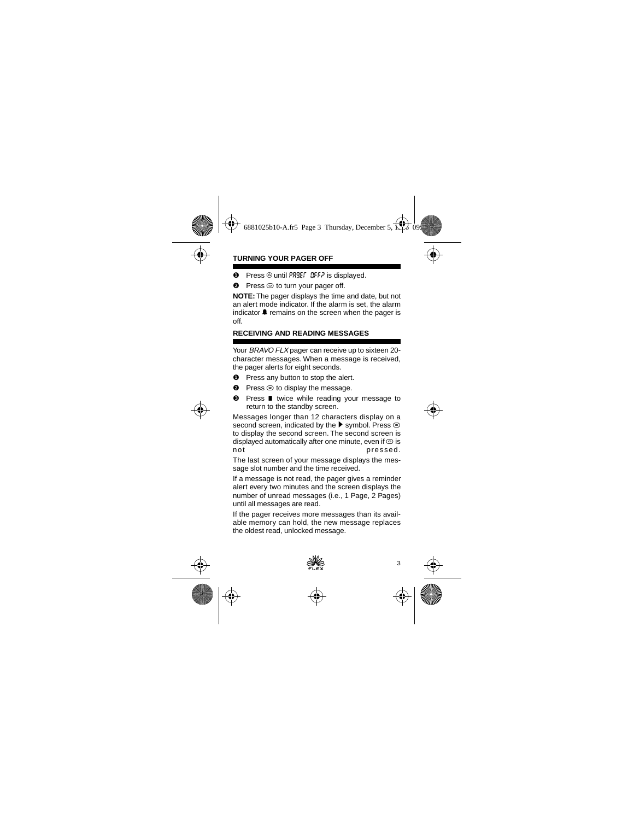## **TURNING YOUR PAGER OFF**

#### **O** Press  $\circledcirc$  until PRSEF OFF? is displayed.

<sup>●</sup> Press © to turn your pager off.

**NOTE:** The pager displays the time and date, but not an alert mode indicator. If the alarm is set, the alarm indicator  $\blacksquare$  remains on the screen when the pager is off.

## **RECEIVING AND READING MESSAGES**

Your BRAVO FLX pager can receive up to sixteen 20character messages. When a message is received, the pager alerts for eight seconds.

- ❶ Press any button to stop the alert.
- $\bullet$  Press  $\odot$  to display the message.
- <sup>●</sup> Press twice while reading your message to return to the standby screen.

Messages longer than 12 characters display on a second screen, indicated by the  $\blacktriangleright$  symbol. Press  $\odot$ to display the second screen. The second screen is displayed automatically after one minute, even if  $\odot$  is not pressed.

The last screen of your message displays the message slot number and the time received.

If a message is not read, the pager gives a reminder alert every two minutes and the screen displays the number of unread messages (i.e., 1 Page, 2 Pages) until all messages are read.

If the pager receives more messages than its available memory can hold, the new message replaces the oldest read, unlocked message.

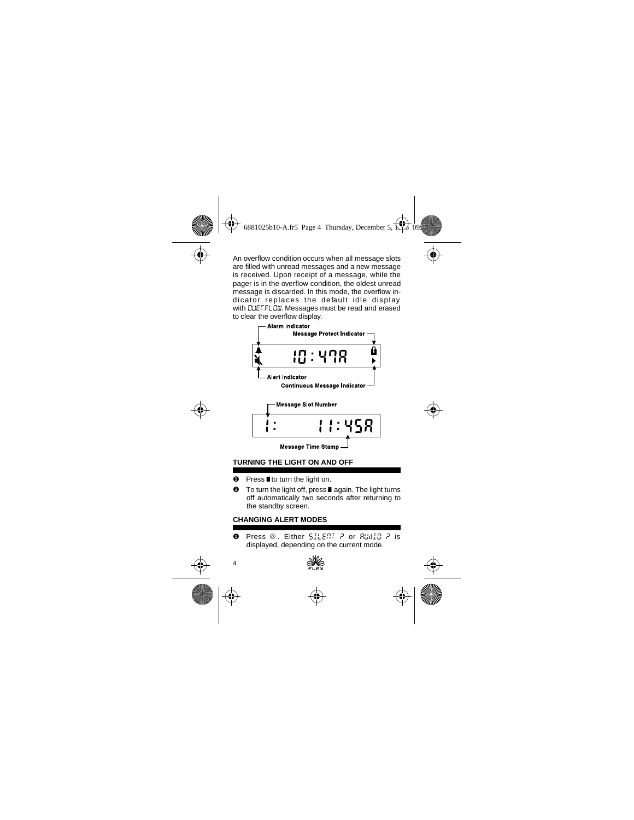An overflow condition occurs when all message slots are filled with unread messages and a new message is received. Upon receipt of a message, while the pager is in the overflow condition, the oldest unread message is discarded. In this mode, the overflow indicator replaces the default idle display with CLIEFFLOW. Messages must be read and erased to clear the overflow display.



## **TURNING THE LIGHT ON AND OFF**

- $\bullet$  Press Ito turn the light on.
- $\odot$  To turn the light off, press **I** again. The light turns off automatically two seconds after returning to the standby screen.

## **CHANGING ALERT MODES**

**O** Press <sup>◎</sup>. Either 5ILENT P or BUdIO P is displayed, depending on the current mode.

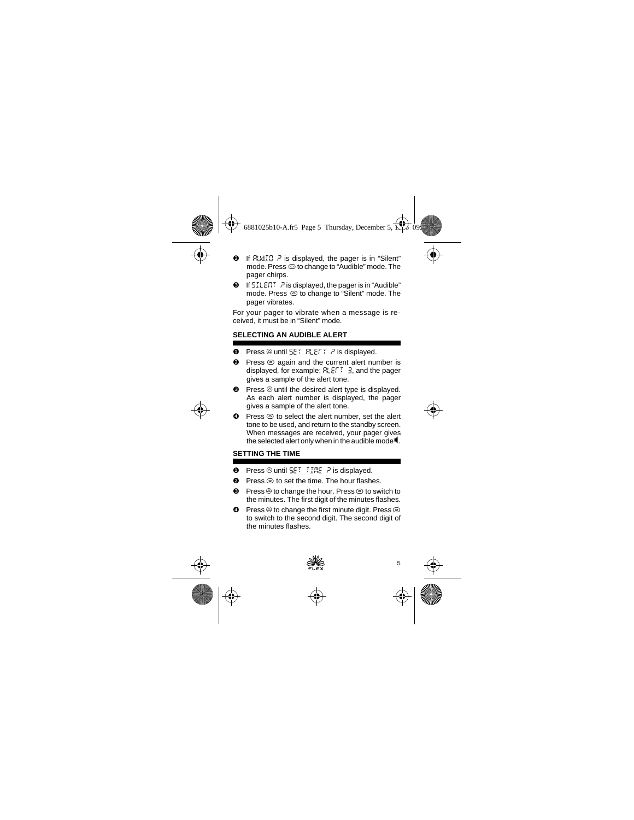- ❷ If audio ? is displayed, the pager is in "Silent" mode. Press  $\odot$  to change to "Audible" mode. The pager chirps.
- ❸ If silent ? is displayed, the pager is in "Audible" mode. Press  $\odot$  to change to "Silent" mode. The pager vibrates.

For your pager to vibrate when a message is received, it must be in "Silent" mode.

## **SELECTING AN AUDIBLE ALERT**

- **O** Press  $\circledcirc$  until  $5E^T$ ,  $R \circledcirc F$  is displayed.
- ❷ Press W again and the current alert number is displayed, for example:  $BLEFT = 3$ , and the pager gives a sample of the alert tone.
- ❸ Press Xuntil the desired alert type is displayed. As each alert number is displayed, the pager gives a sample of the alert tone.
- $\bullet$  Press  $\odot$  to select the alert number, set the alert tone to be used, and return to the standby screen. When messages are received, your pager gives the selected alert only when in the audible mode  $\P$ .

### **SETTING THE TIME**

- **O** Press  $\circledcirc$  until  $5E^T$   $\cdot$   $IME$   $\geq$  is displayed.
- $\bullet$  Press  $\odot$  to set the time. The hour flashes
- $\Theta$  Press  $\circledcirc$  to change the hour. Press  $\circledcirc$  to switch to the minutes. The first digit of the minutes flashes.
- $\bullet$  Press  $\circledcirc$  to change the first minute digit. Press  $\circledcirc$ to switch to the second digit. The second digit of the minutes flashes.

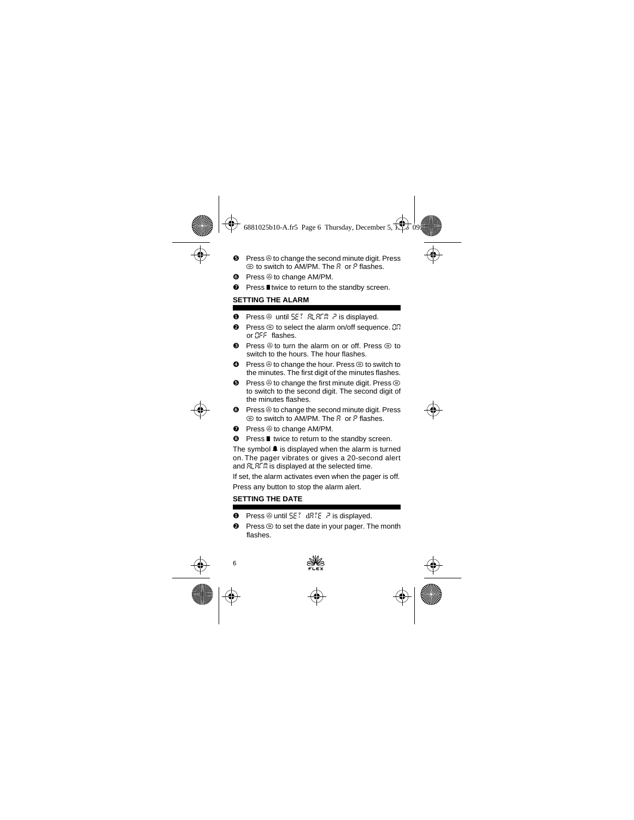- $\Theta$  Press  $\circledcirc$  to change the second minute digit. Press  $\odot$  to switch to AM/PM. The  $\ddot{B}$  or  $P$  flashes.
- **<sup>O</sup>** Press  $\textcircled{a}$  to change AM/PM.
- $\bullet$  Press ∎twice to return to the standby screen.

## **SETTING THE ALARM**

- **O** Press  $\circledcirc$  until  $5.57$   $R$ ,  $R^2$ ,  $R^3$   $\circledcirc$  is displayed.
- $\Theta$  Press  $\odot$  to select the alarm on/off sequence.  $\Box$ or  $E^{\text{F}}F$  flashes.
- $\bigcirc$  Press  $\otimes$  to turn the alarm on or off. Press  $\odot$  to switch to the hours. The hour flashes.
- $\bullet$  Press  $\circledcirc$  to change the hour. Press  $\circledcirc$  to switch to the minutes. The first digit of the minutes flashes.
- $\Theta$  Press  $\circledcirc$  to change the first minute digit. Press  $\circledcirc$ to switch to the second digit. The second digit of the minutes flashes.
- $\bullet$  Press  $\circledcirc$  to change the second minute digit. Press  $\odot$  to switch to AM/PM. The B or P flashes.
- $\odot$  Press  $\odot$  to change AM/PM.
- **☉** Press twice to return to the standby screen.

The symbol  $\triangleq$  is displayed when the alarm is turned on. The pager vibrates or gives a 20-second alert and  $R_{\text{L}}R_{\text{L}}^{\text{c}}$  and  $R_{\text{L}}^{\text{c}}R_{\text{L}}^{\text{c}}$  is displayed at the selected time.

If set, the alarm activates even when the pager is off.

Press any button to stop the alarm alert.

## **SETTING THE DATE**

- **O** Press  $\otimes$  until  $55^\circ$  d $85^\circ$  ? is displayed.
- $\Theta$  Press  $\odot$  to set the date in your pager. The month flashes.

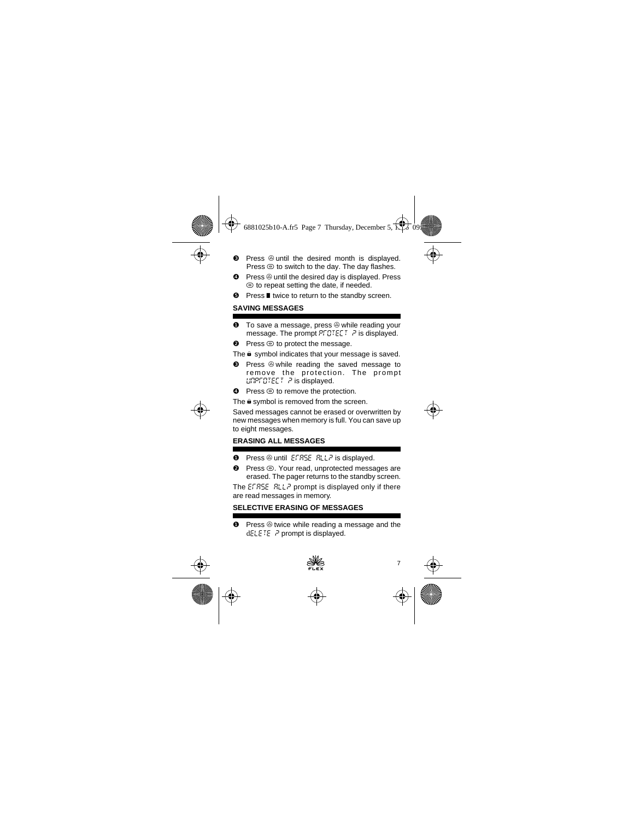- $\bullet$  Press  $\circledcirc$  until the desired month is displayed. Press  $\odot$  to switch to the day. The day flashes.
- **<sup>4</sup>** Press  $\otimes$  until the desired day is displayed. Press  $\odot$  to repeat setting the date, if needed.
- $\Theta$  Press **I** twice to return to the standby screen.

#### **SAVING MESSAGES**

- $\bullet$  To save a message, press  $\circledcirc$  while reading your message. The prompt  $P \cap T \in \mathbb{C}$  ? is displayed.
- $\Theta$  Press  $\odot$  to protect the message.

The  $\hat{\mathbf{e}}$  symbol indicates that your message is saved.

- ❸ Press Xwhile reading the saved message to remove the protection. The prompt unprotect ? is displayed.
- $\bullet$  Press  $\odot$  to remove the protection.

The  $\hat{\mathbf{a}}$  symbol is removed from the screen.

Saved messages cannot be erased or overwritten by new messages when memory is full. You can save up to eight messages.

### **ERASING ALL MESSAGES**

- **O** Press  $\circledcirc$  until  $EFRSE$   $RLL$  is displayed.
- <sup>●</sup> Press ©. Your read, unprotected messages are erased. The pager returns to the standby screen.

The  $ESTASE$   $SLLP$  prompt is displayed only if there are read messages in memory.

### **SELECTIVE ERASING OF MESSAGES**

 $\bullet$  Press  $\circledcirc$  twice while reading a message and the  $dE$ !  $E$ :  $E$   $\geq$  prompt is displayed.

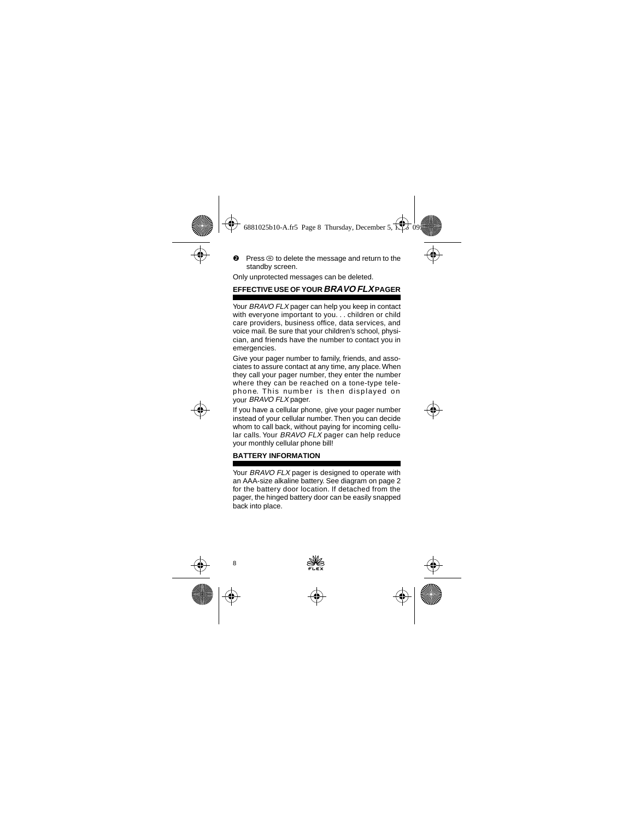$\bullet$  Press  $\odot$  to delete the message and return to the standby screen.

Only unprotected messages can be deleted.

## **EFFECTIVE USE OF YOUR BRAVO FLX PAGER**

Your BRAVO FLX pager can help you keep in contact with everyone important to you. . . children or child care providers, business office, data services, and voice mail. Be sure that your children's school, physician, and friends have the number to contact you in emergencies.

Give your pager number to family, friends, and associates to assure contact at any time, any place. When they call your pager number, they enter the number where they can be reached on a tone-type telephone. This number is then displayed on your BRAVO FLX pager.

If you have a cellular phone, give your pager number instead of your cellular number. Then you can decide whom to call back, without paying for incoming cellular calls. Your BRAVO FLX pager can help reduce your monthly cellular phone bill!

#### **BATTERY INFORMATION**

Your BRAVO FLX pager is designed to operate with an AAA-size alkaline battery. See diagram on page 2 for the battery door location. If detached from the pager, the hinged battery door can be easily snapped back into place.

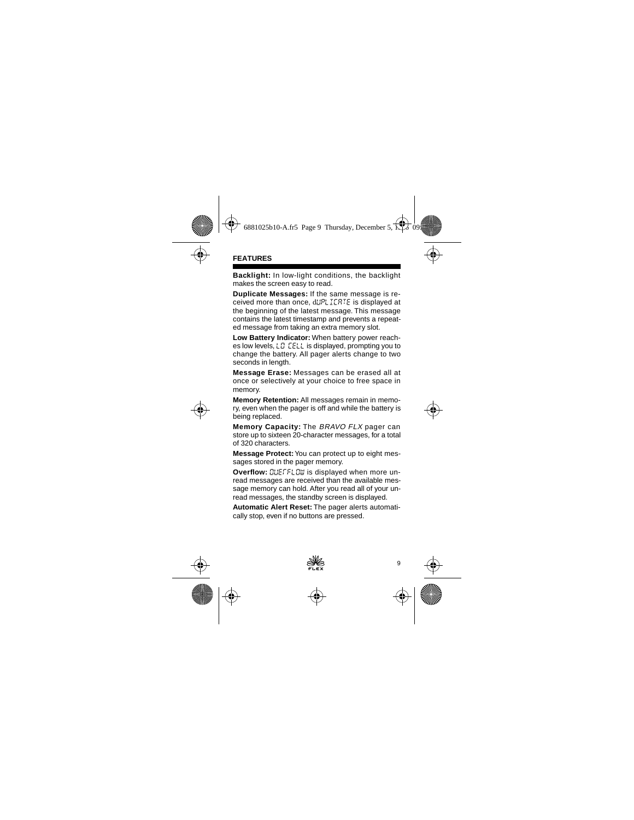#### **FEATURES**

**Backlight:** In low-light conditions, the backlight makes the screen easy to read.

**Duplicate Messages:** If the same message is received more than once, dupl. ICRTE is displayed at the beginning of the latest message. This message contains the latest timestamp and prevents a repeated message from taking an extra memory slot.

**Low Battery Indicator:** When battery power reaches low levels,  $L G$  CELL is displayed, prompting you to change the battery. All pager alerts change to two seconds in length.

**Message Erase:** Messages can be erased all at once or selectively at your choice to free space in memory.

**Memory Retention:** All messages remain in memory, even when the pager is off and while the battery is being replaced.

**Memory Capacity:** The BRAVO FLX pager can store up to sixteen 20-character messages, for a total of 320 characters.

**Message Protect:** You can protect up to eight messages stored in the pager memory.

**Overflow: CUEFFLOW** is displayed when more unread messages are received than the available message memory can hold. After you read all of your unread messages, the standby screen is displayed.

**Automatic Alert Reset:** The pager alerts automatically stop, even if no buttons are pressed.

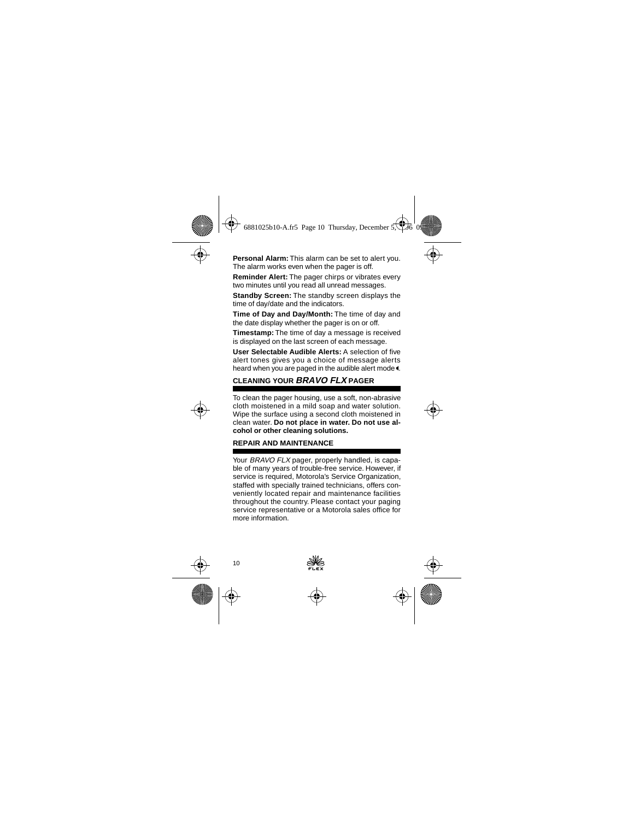**Personal Alarm:** This alarm can be set to alert you. The alarm works even when the pager is off.

**Reminder Alert:** The pager chirps or vibrates every two minutes until you read all unread messages.

**Standby Screen:** The standby screen displays the time of day/date and the indicators.

**Time of Day and Day/Month:** The time of day and the date display whether the pager is on or off.

**Timestamp:** The time of day a message is received is displayed on the last screen of each message.

**User Selectable Audible Alerts:** A selection of five alert tones gives you a choice of message alerts heard when you are paged in the audible alert mode .

## **CLEANING YOUR BRAVO FLX PAGER**

To clean the pager housing, use a soft, non-abrasive cloth moistened in a mild soap and water solution. Wipe the surface using a second cloth moistened in clean water. **Do not place in water. Do not use alcohol or other cleaning solutions.**

### **REPAIR AND MAINTENANCE**

Your BRAVO FLX pager, properly handled, is capable of many years of trouble-free service. However, if service is required, Motorola's Service Organization, staffed with specially trained technicians, offers conveniently located repair and maintenance facilities throughout the country. Please contact your paging service representative or a Motorola sales office for more information.

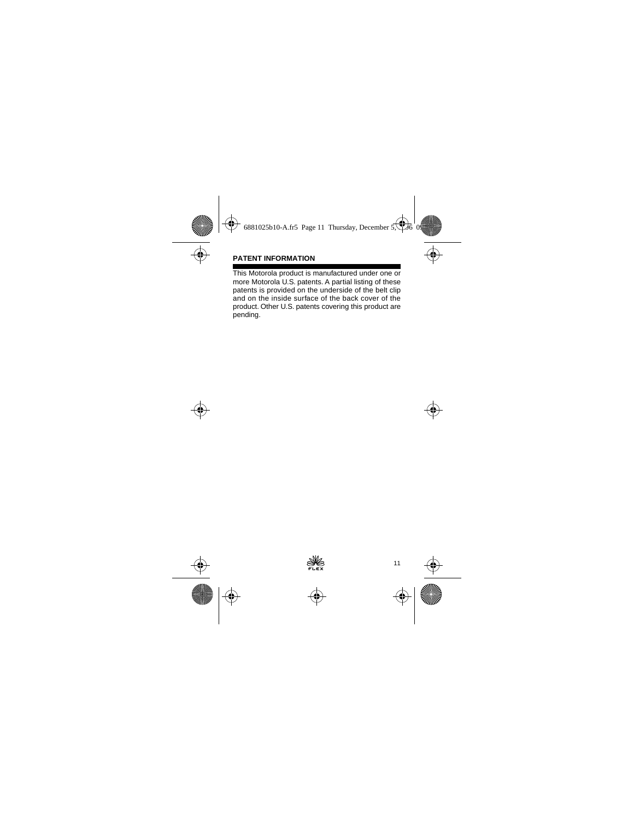### **PATENT INFORMATION**

This Motorola product is manufactured under one or more Motorola U.S. patents. A partial listing of these patents is provided on the underside of the belt clip and on the inside surface of the back cover of the product. Other U.S. patents covering this product are pending.

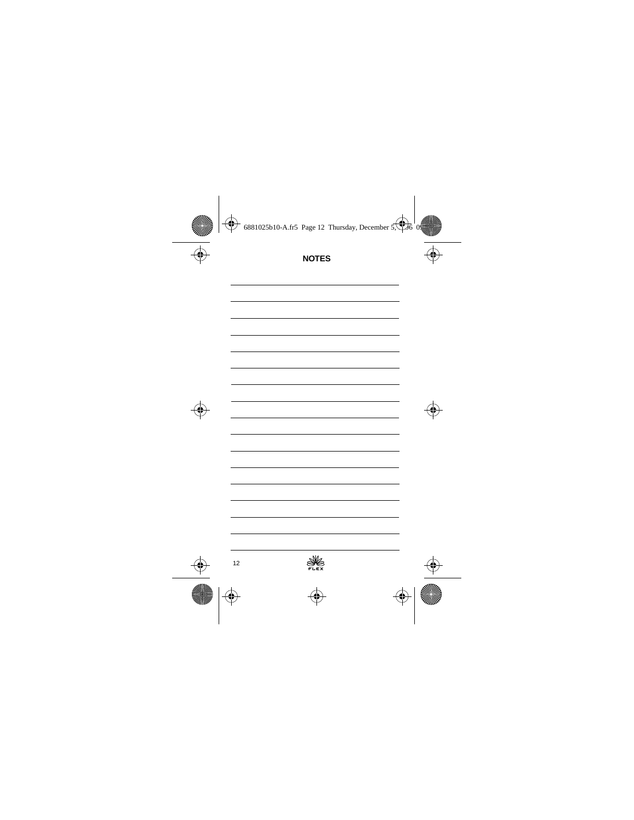## **NOTES**

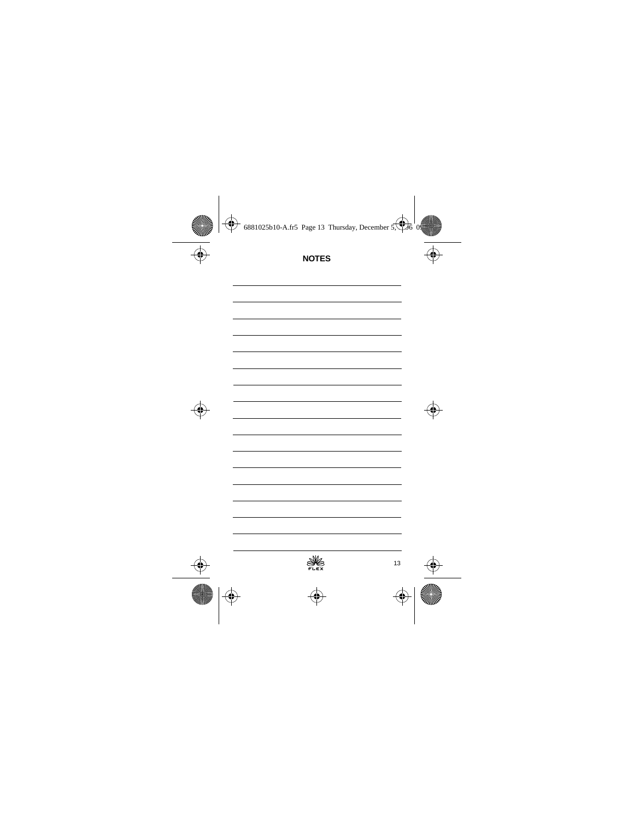## **NOTES**